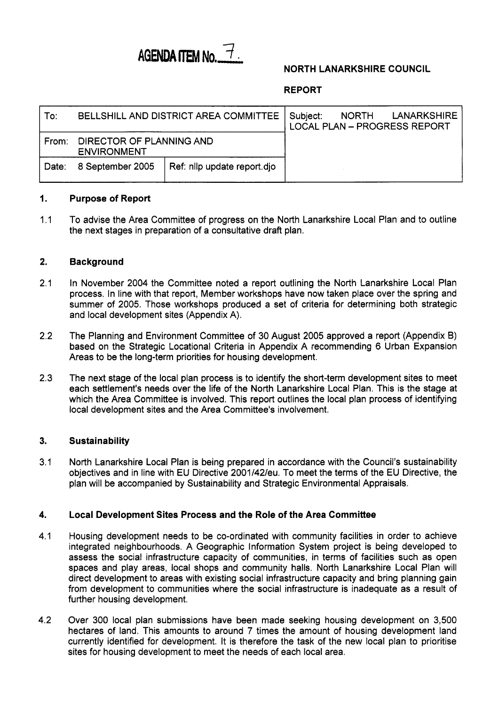

### **NORTH LANARKSHIRE COUNCIL**

### **REPORT**

| To:   | BELLSHILL AND DISTRICT AREA COMMITTEE I         | Subject: | NORTH LANARKSHIRE<br><b>LOCAL PLAN - PROGRESS REPORT</b> |  |
|-------|-------------------------------------------------|----------|----------------------------------------------------------|--|
| From: | DIRECTOR OF PLANNING AND<br><b>ENVIRONMENT</b>  |          |                                                          |  |
| Date: | Ref: nllp update report.djo<br>8 September 2005 |          |                                                          |  |

#### **1. Purpose of Report**

1.1 To advise the Area Committee of progress on the North Lanarkshire Local Plan and to outline the next stages in preparation of a consultative draft plan.

#### **2. Background**

- 2.1 In November 2004 the Committee noted a report outlining the North Lanarkshire Local Plan process. In line with that report, Member workshops have now taken place over the spring and summer of 2005. Those workshops produced a set of criteria for determining both strategic and local development sites (Appendix A).
- 2.2 The Planning and Environment Committee of 30 August 2005 approved a report (Appendix B) based on the Strategic Locational Criteria in Appendix A recommending 6 Urban Expansion Areas to be the long-term priorities for housing development.
- 2.3 The next stage of the local plan process is to identify the short-term development sites to meet each settlement's needs over the life of the North Lanarkshire Local Plan. This is the stage at which the Area Committee is involved. This report outlines the local plan process of identifying local development sites and the Area Committee's involvement.

#### **3. Sustainability**

3.1 North Lanarkshire Local Plan is being prepared in accordance with the Council's sustainability objectives and in line with EU Directive 2001/42/eu. To meet the terms of the EU Directive, the plan will be accompanied by Sustainability and Strategic Environmental Appraisals.

#### **4. Local Development Sites Process and the Role of the Area Committee**

- 4.1 Housing development needs to be co-ordinated with community facilities in order to achieve integrated neighbourhoods. **A** Geographic Information System project **is** being developed to assess the social infrastructure capacity of communities, in terms of facilities such as open spaces and play areas, local shops and community halls. North Lanarkshire Local Plan will direct development to areas with existing social infrastructure capacity and bring planning gain from development to communities where the social infrastructure is inadequate as a result of further housing development.
- 4.2 Over 300 local plan submissions have been made seeking housing development on 3,500 hectares of land. This amounts to around 7 times the amount of housing development land currently identified for development. It is therefore the task of the new local plan to prioritise sites for housing development to meet the needs of each local area.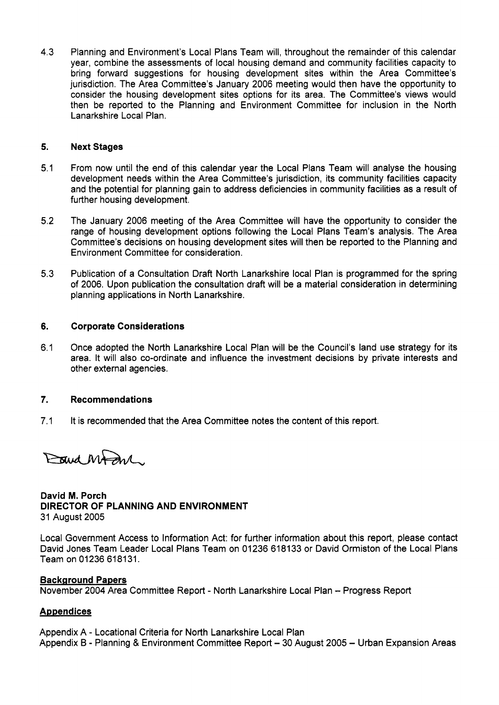4.3 Planning and Environment's Local Plans Team will, throughout the remainder of this calendar year, combine the assessments of local housing demand and community facilities capacity to bring forward suggestions for housing development sites within the Area Committee's jurisdiction. The Area Committee's January 2006 meeting would then have the opportunity to consider the housing development sites options for its area. The Committee's views would then be reported to the Planning and Environment Committee for inclusion in the North Lanarkshire Local Plan.

#### **5. Next Stages**

- 5.1 From now until the end of this calendar year the Local Plans Team will analyse the housing development needs within the Area Committee's jurisdiction, its community facilities capacity and the potential for planning gain to address deficiencies in community facilities as a result of further housing development.
- 5.2 The January 2006 meeting of the Area Committee will have the opportunity to consider the range of housing development options following the Local Plans Team's analysis. The Area Committee's decisions on housing development sites will then be reported to the Planning and Environment Committee for consideration.
- 5.3 Publication of a Consultation Draft North Lanarkshire local Plan is programmed for the spring of 2006. Upon publication the consultation draft will be a material consideration in determining planning applications in North Lanarkshire.

#### **6. Corporate Considerations**

6.1 Once adopted the North Lanarkshire Local Plan will be the Council's land use strategy for its area. It will also co-ordinate and influence the investment decisions by private interests and other external agencies.

#### **7. Recommendations**

7.1 It is recommended that the Area Committee notes the content of this report.

Bud Magne.

### **David M. Porch DIRECTOR OF PLANNING AND ENVIRONMENT**  31 August 2005

Local Government Access to Information Act: for further information about this report, please contact David Jones Team Leader Local Plans Team on 01236 618133 or David Ormiston of the Local Plans Team on 01236 618131.

### **Background Papers**

November **2004** Area Committee Report - North Lanarkshire Local Plan - Progress Report

### **Appendices**

Appendix A - Locational Criteria for North Lanarkshire Local Plan Appendix B - Planning & Environment Committee Report - 30 August 2005 - Urban Expansion Areas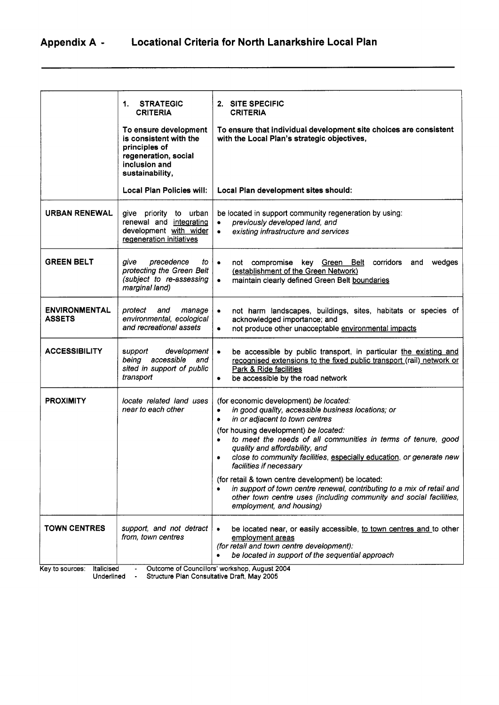# **AppendixA** - **Locational Criteria for North Lanarkshire Local Plan**

|                                                           | <b>STRATEGIC</b><br>1.<br><b>CRITERIA</b><br>To ensure development<br>is consistent with the<br>principles of<br>regeneration, social<br>inclusion and<br>sustainability, | 2. SITE SPECIFIC<br><b>CRITERIA</b><br>To ensure that individual development site choices are consistent<br>with the Local Plan's strategic objectives,                                                                                                                                                                                                                                                                                                                                                                                                                                                                                             |  |  |
|-----------------------------------------------------------|---------------------------------------------------------------------------------------------------------------------------------------------------------------------------|-----------------------------------------------------------------------------------------------------------------------------------------------------------------------------------------------------------------------------------------------------------------------------------------------------------------------------------------------------------------------------------------------------------------------------------------------------------------------------------------------------------------------------------------------------------------------------------------------------------------------------------------------------|--|--|
|                                                           | <b>Local Plan Policies will:</b>                                                                                                                                          | Local Plan development sites should:                                                                                                                                                                                                                                                                                                                                                                                                                                                                                                                                                                                                                |  |  |
| <b>URBAN RENEWAL</b>                                      | give priority to urban<br>renewal and integrating<br>development with wider<br>regeneration initiatives                                                                   | be located in support community regeneration by using:<br>previously developed land, and<br>existing infrastructure and services<br>$\bullet$                                                                                                                                                                                                                                                                                                                                                                                                                                                                                                       |  |  |
| <b>GREEN BELT</b>                                         | aive<br>precedence<br>to<br>protecting the Green Belt<br>(subject to re-assessing<br>marginal land)                                                                       | not compromise key Green Belt corridors<br>wedges<br>$\bullet$<br>and<br>(establishment of the Green Network)<br>maintain clearly defined Green Belt boundaries<br>$\bullet$                                                                                                                                                                                                                                                                                                                                                                                                                                                                        |  |  |
| <b>ENVIRONMENTAL</b><br><b>ASSETS</b>                     | protect<br>and<br>manage<br>environmental, ecological<br>and recreational assets                                                                                          | not harm landscapes, buildings, sites, habitats or species of<br>$\bullet$<br>acknowledged importance; and<br>not produce other unacceptable environmental impacts<br>٠                                                                                                                                                                                                                                                                                                                                                                                                                                                                             |  |  |
| <b>ACCESSIBILITY</b>                                      | development<br>support<br>accessible<br>being<br>and<br>sited in support of public<br>transport                                                                           | be accessible by public transport, in particular the existing and<br>$\bullet$<br>recognised extensions to the fixed public transport (rail) network or<br>Park & Ride facilities<br>be accessible by the road network<br>٠                                                                                                                                                                                                                                                                                                                                                                                                                         |  |  |
| <b>PROXIMITY</b>                                          | locate related land uses<br>near to each other                                                                                                                            | (for economic development) be located:<br>in good quality, accessible business locations; or<br>$\bullet$<br>in or adjacent to town centres<br>۰<br>(for housing development) be located:<br>to meet the needs of all communities in terms of tenure, good<br>quality and affordability, and<br>close to community facilities, especially education, or generate new<br>٠<br>facilities if necessary<br>(for retail & town centre development) be located:<br>in support of town centre renewal, contributing to a mix of retail and<br>$\bullet$<br>other town centre uses (including community and social facilities,<br>employment, and housing) |  |  |
| <b>TOWN CENTRES</b><br>Italicised<br>Key to sources:      | support, and not detract<br>from, town centres                                                                                                                            | be located near, or easily accessible, to town centres and to other<br>employment areas<br>(for retail and town centre development):<br>be located in support of the sequential approach<br>Outcome of Councillors' workshop, August 2004                                                                                                                                                                                                                                                                                                                                                                                                           |  |  |
| Structure Plan Consultative Draft, May 2005<br>Underlined |                                                                                                                                                                           |                                                                                                                                                                                                                                                                                                                                                                                                                                                                                                                                                                                                                                                     |  |  |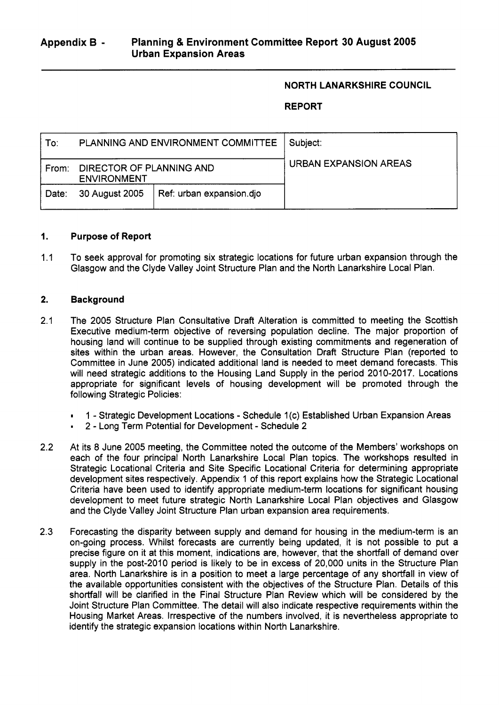### **NORTH LANARKSHIRE COUNCIL**

### **REPORT**

| To:   |                                                | PLANNING AND ENVIRONMENT COMMITTEE | Subject:              |
|-------|------------------------------------------------|------------------------------------|-----------------------|
| From: | DIRECTOR OF PLANNING AND<br><b>ENVIRONMENT</b> |                                    | URBAN EXPANSION AREAS |
| Date: | Ref: urban expansion.dio<br>30 August 2005     |                                    |                       |

#### **1. Purpose of Report**

1.1 To seek approval for promoting six strategic locations for future urban expansion through the Glasgow and the Clyde Valley Joint Structure Plan and the North Lanarkshire Local Plan.

#### **2. Background**

- 2.1 The 2005 Structure Plan Consultative Draft Alteration is committed to meeting the Scottish Executive medium-term objective of reversing population decline. The major proportion of housing land will continue to be supplied through existing commitments and regeneration of sites within the urban areas. However, the Consultation Draft Structure Plan (reported to Committee in June 2005) indicated additional land is needed to meet demand forecasts. This will need strategic additions to the Housing Land Supply in the period 2010-2017. Locations appropriate for significant levels of housing development will be promoted through the following Strategic Policies:
	- . 1 Strategic Development Locations Schedule 1 (c) Established Urban Expansion Areas
	- 2 Long Term Potential for Development Schedule 2
- 2.2 At its 8 June 2005 meeting, the Committee noted the outcome of the Members' workshops on each of the four principal North Lanarkshire Local Plan topics. The workshops resulted in Strategic Locational Criteria and Site Specific Locational Criteria for determining appropriate development sites respectively. Appendix 1 of this report explains how the Strategic Locational Criteria have been used to identify appropriate medium-term locations for significant housing development to meet future strategic North Lanarkshire Local Plan objectives and Glasgow and the Clyde Valley Joint Structure Plan urban expansion area requirements.
- 2.3 Forecasting the disparity between supply and demand for housing in the medium-term is an on-going process. Whilst forecasts are currently being updated, it is not possible to put a precise figure on it at this moment, indications are, however, that the shortfall of demand over supply in the post-2010 period is likely to be in excess of 20,000 units in the Structure Plan area. North Lanarkshire is in a position to meet a large percentage of any shortfall in view of the available opportunities consistent with the objectives of the Structure Plan. Details of this shortfall will be clarified in the Final Structure Plan Review which will be considered by the Joint Structure Plan Committee. The detail will also indicate respective requirements within the Housing Market Areas. Irrespective of the numbers involved, it is nevertheless appropriate to identify the strategic expansion locations within North Lanarkshire.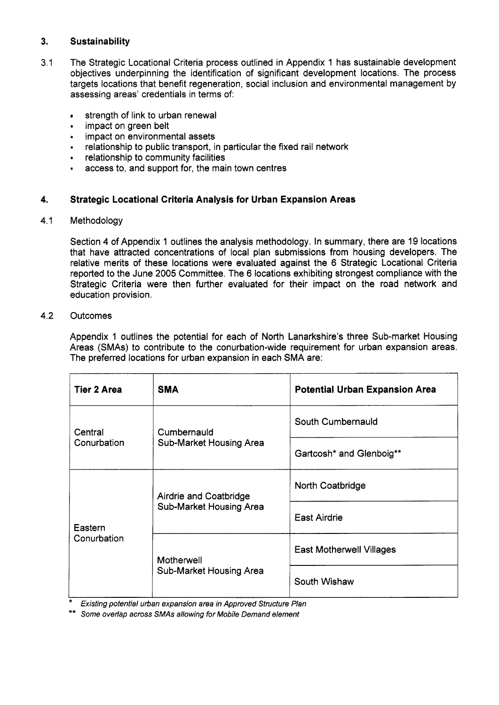#### **3. Sustaina bility**

- 3.1 The Strategic Locational Criteria process outlined in Appendix 1 has sustainable development objectives underpinning the identification of significant development locations. The process targets locations that benefit regeneration, social inclusion and environmental management by assessing areas' credentials in terms of:
	- strength of link to urban renewal
	- **s** strength of link to urb<br>**EXEC** impact on green belt
	- impact on environmental assets
	- relationship to public transport, in particular the fixed rail network
	- . relationship to community facilities
	- **1**  access to, and support for, the main town centres

#### **4. Strategic Locational Criteria Analysis for Urban Expansion Areas**

#### 4.1 Methodology

Section 4 of Appendix 1 outlines the analysis methodology. In summary, there are 19 locations that have attracted concentrations of local plan submissions from housing developers. The relative merits of these locations were evaluated against the 6 Strategic Locational Criteria reported to the June 2005 Committee. The 6 locations exhibiting strongest compliance with the Strategic Criteria were then further evaluated for their impact on the road network and education provision.

#### 4.2 Outcomes

Appendix 1 outlines the potential for each of North Lanarkshire's three Sub-market Housing Areas (SMAs) to contribute to the conurbation-wide requirement for urban expansion areas. The preferred locations for urban expansion in each SMA are:

| <b>Tier 2 Area</b> | <b>SMA</b>              | <b>Potential Urban Expansion Area</b> |  |
|--------------------|-------------------------|---------------------------------------|--|
| Central            | Cumbernauld             | South Cumbernauld                     |  |
| Conurbation        | Sub-Market Housing Area | Gartcosh* and Glenboig**              |  |
|                    | Airdrie and Coatbridge  | North Coatbridge                      |  |
| Eastern            | Sub-Market Housing Area | <b>East Airdrie</b>                   |  |
| Conurbation        | Motherwell              | <b>East Motherwell Villages</b>       |  |
|                    | Sub-Market Housing Area | South Wishaw                          |  |

*Existing potential urban expansion area in Approved Structure Plan* 

\*\* *Some overlap across SMAs allowing for Mobile Demand element*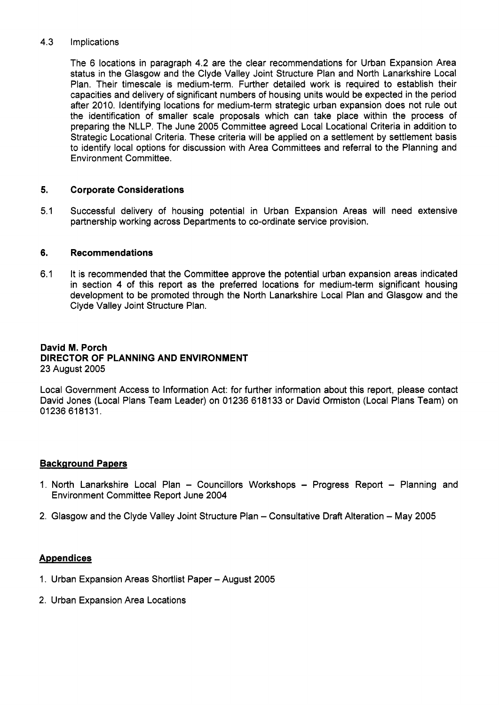#### 4.3 Implications

The 6 locations in paragraph 4.2 are the clear recommendations for Urban Expansion Area status in the Glasgow and the Clyde Valley Joint Structure Plan and North Lanarkshire Local Plan. Their timescale is medium-term. Further detailed work is required to establish their capacities and delivery of significant numbers of housing units would be expected in the period after 2010. Identifying locations for medium-term strategic urban expansion does not rule out the identification of smaller scale proposals which can take place within the process of preparing the NLLP. The June 2005 Committee agreed Local Locational Criteria in addition to Strategic Locational Criteria. These criteria will be applied on a settlement by settlement basis to identify local options for discussion with Area Committees and referral to the Planning and Environment Committee.

#### **5. Corporate Considerations**

5.1 Successful delivery of housing potential in Urban Expansion Areas will need extensive partnership working across Departments to co-ordinate service provision.

#### **6. Recommendations**

6.1 It is recommended that the Committee approve the potential urban expansion areas indicated in section **4** of this report as the preferred locations for medium-term significant housing development to be promoted through the North Lanarkshire Local Plan and Glasgow and the Clyde Valley Joint Structure Plan.

### **David M. Porch DIRECTOR OF PLANNING AND ENVIRONMENT**  23 August 2005

Local Government Access to Information Act: for further information about this report, please contact David Jones (Local Plans Team Leader) on 01236 618133 or David Ormiston (Local Plans Team) on 01236 618131.

### **Background Papers**

- 1. North Lanarkshire Local Plan Councillors Workshops Progress Report Planning and Environment Committee Report June 2004
- 2. Glasgow and the Clyde Valley Joint Structure Plan Consultative Draft Alteration May 2005

### **Appendices**

- 1. Urban Expansion Areas Shortlist Paper August 2005
- 2. Urban Expansion Area Locations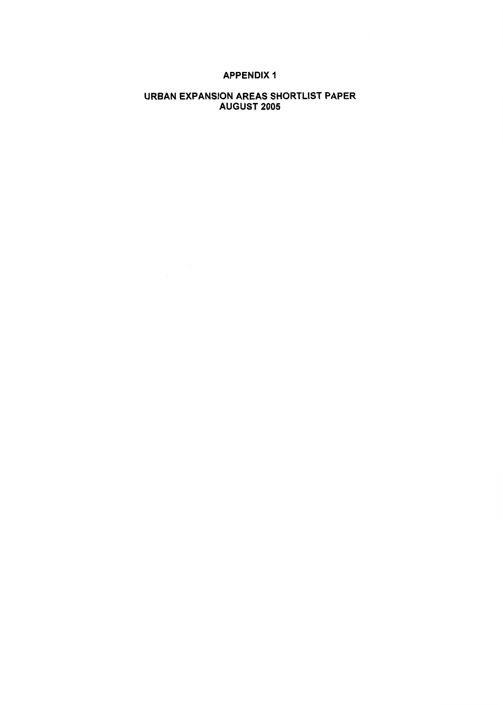### **APPENDIX 1**

### **URBAN EXPANSION AREAS SHORTLIST PAPER AUGUST 2005**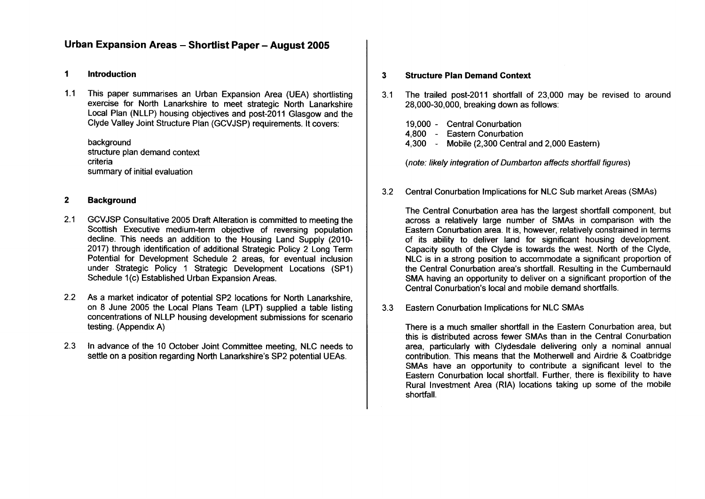### **Urban Expansion Areas** - **Shortlist Paper** - **August 2005**

### **1 Introduction**

1.1 This paper summarises an Urban Expansion Area (UEA) shortlisting exercise for North Lanarkshire to meet strategic North Lanarkshire Local Plan (NLLP) housing objectives and post-2011 Glasgow and the Clyde Valley Joint Structure Plan (GCVJSP) requirements. It covers:

background structure plan demand context criteria summary of initial evaluation

### **2 Background**

- 2.1 GCVJSP Consultative 2005 Draft Alteration is committed to meeting the Scottish Executive medium-term objective of reversing population decline. This needs an addition to the Housing Land Supply (2010- 2017) through identification of additional Strategic Policy 2 Long Term Potential for Development Schedule 2 areas, for eventual inclusion under Strategic Policy 1 Strategic Development Locations (SP1) Schedule 1(c) Established Urban Expansion Areas.
- 2.2 As a market indicator of potential SP2 locations for North Lanarkshire, on 8 June 2005 the Local Plans Team (LPT) supplied a table listing concentrations of NLLP housing development submissions for scenario testing. (Appendix A)
- 2.3 In advance of the 10 October Joint Committee meeting, NLC needs to settle on a position regarding North Lanarkshire's SP2 potential UEAs.

### **3 Structure Plan Demand Context**

- 3.1 The trailed post-2011 shortfall of 23,000 may be revised to around 28,000-30,000, breaking down as follows:
	- 19,000 Central Conurbation
	- 4,800 Eastern Conurbation
	- 4,300 Mobile (2,300 Central and 2,000 Eastern)

*(note: likely integration of Dumbarton affects shortfall figures)* 

3.2 Central Conurbation Implications for NLC Sub market Areas (SMAs)

The Central Conurbation area has the largest shortfall component, but across a relatively large number of SMAs in comparison with the Eastern Conurbation area. It is, however, relatively constrained in terms of its ability to deliver land for significant housing development. Capacity south of the Clyde is towards the west. North of the Clyde, NLC is in a strong position to accommodate a significant proportion of the Central Conurbation area's shortfall. Resulting in the Cumbernauld SMA having an opportunity to deliver on a significant proportion of the Central Conurbation's local and mobile demand shortfalls.

3.3 Eastern Conurbation Implications for NLC SMAs

There is a much smaller shortfall in the Eastern Conurbation area, but this is distributed across fewer SMAs than in the Central Conurbation area, particularly with Clydesdale delivering only a nominal annual contribution. This means that the Motherwell and Airdrie & Coatbridge SMAs have an opportunity to contribute a significant level to the Eastern Conurbation local shortfall. Further, there is flexibility to have Rural Investment Area (RIA) locations taking up some of the mobile shortfall.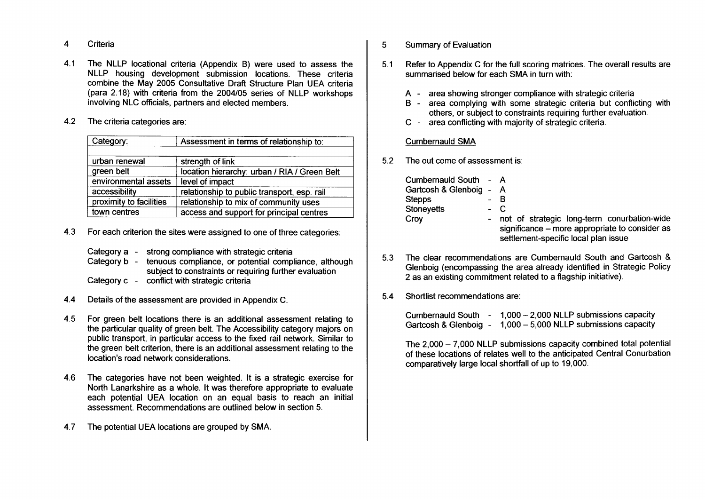4 **Criteria** 

4.1 The NLLP locational criteria (Appendix B) were used to assess the NLLP housing development submission locations. These criteria combine the May 2005 Consultative Draft Structure Plan UEA criteria (para 2.18) with criteria from the 2004105 series of NLLP workshops involving NLC officials, partners and elected members.

#### 4.2 The criteria categories are:

| Category:               | Assessment in terms of relationship to:      |
|-------------------------|----------------------------------------------|
|                         |                                              |
| urban renewal           | strength of link                             |
| green belt              | location hierarchy: urban / RIA / Green Belt |
| environmental assets    | level of impact                              |
| accessibility           | relationship to public transport, esp. rail  |
| proximity to facilities | relationship to mix of community uses        |
| town centres            | access and support for principal centres     |

- 4.3 For each criterion the sites were assigned to one of three categories:
	- Category a strong compliance with strategic criteria
	- Category b tenuous compliance, or potential compliance, although subject to constraints or requiring further evaluation
	- Category c conflict with strategic criteria
- 4.4 Details of the assessment are provided in Appendix C.
- 4.5 For green belt locations there is an additional assessment relating to the particular quality of green belt. The Accessibility category majors on public transport, in particular access to the fixed rail network. Similar to the green belt criterion, there is an additional assessment relating to the location's road network considerations.
- 4.6 The categories have not been weighted. It is a strategic exercise for North Lanarkshire as a whole. It was therefore appropriate to evaluate each potential UEA location on an equal basis to reach an initial assessment. Recommendations are outlined below in section 5.
- 4.7 The potential UEA locations are grouped by SMA.
- 5 Summary of Evaluation
- 5.1 Refer to Appendix C for the full scoring matrices. The overall results are summarised below for each SMA in turn with:
	- A-area showing stronger compliance with strategic criteria
	- B-area complying with some strategic criteria but conflicting with others, or subject to constraints requiring further evaluation.
	- c-area conflicting with majority of strategic criteria.

### **Cumbernauld SMA**

**5.2** The out come **of** assessment **is:** 

| Cumbernauld South - A   |     |                                                |
|-------------------------|-----|------------------------------------------------|
| Gartcosh & Glenboig - A |     |                                                |
| <b>Stepps</b>           |     | B                                              |
| Stoneyetts              | - C |                                                |
| Croy                    |     | - not of strategic long-term conurbation-wide  |
|                         |     | significance - more appropriate to consider as |
|                         |     | settlement-specific local plan issue           |

- 5.3 The clear recommendations are Cumbernauld South and Gartcosh & Glenboig (encompassing the area already identified in Strategic Policy 2 as an existing commitment related to a flagship initiative).
- 5.4 Shortlist recommendations are:

Cumbernauld South - 1,000 - 2,000 NLLP submissions capacity Gartcosh & Glenboig - 1,000 - **5,000** NLLP submissions capacity

The 2,000 - 7,000 NLLP submissions capacity combined total potential of these locations of relates well to the anticipated Central Conurbation comparatively large local shortfall of up to 19,000.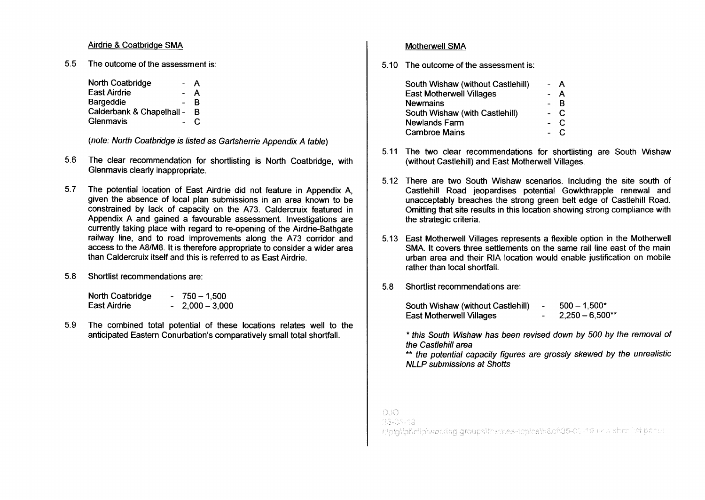### Airdrie & Coatbridqe SMA

**5.5** The outcome of the assessment is:

| North Coatbridge          | А |
|---------------------------|---|
| <b>East Airdrie</b>       | А |
| Bargeddie                 | R |
| Calderbank & Chapelhall - | в |
| Glenmavis                 |   |

*(note: North Coatbridge is listed as Gartsherrie Appendix A table)* 

- The clear recommendation for shortlisting is North Coatbridge, with **5.6**  Glenmavis clearly inappropriate.
- 5.7 The potential location of East Airdrie did not feature in Appendix A, given the absence of local plan submissions in an area known to be constrained by lack of capacity on the A73. Caldercruix featured in Appendix A and gained a favourable assessment. Investigations are currently taking place with regard to re-opening of the Airdrie-Bathgate railway line, and to road improvements along the A73 corridor and access to the A8/M8. It is therefore appropriate to consider a wider area than Caldercruix itself and this is referred to as East Airdrie.
- 5.8 Shortlist recommendations are:

| North Coatbridge | 750 – 1.500     |
|------------------|-----------------|
| East Airdrie     | $2.000 - 3.000$ |

**5.9** The combined total potential of these locations relates well to the anticipated Eastern Conurbation's comparatively small total shortfall.

### Motherwell SMA

5.10 The outcome of the assessment is:

| South Wishaw (without Castlehill) | $\sim$ | A     |
|-----------------------------------|--------|-------|
| <b>East Motherwell Villages</b>   |        | A     |
| <b>Newmains</b>                   |        | B     |
| South Wishaw (with Castlehill)    |        | $-C$  |
| <b>Newlands Farm</b>              |        | $-$ C |
| <b>Carnbroe Mains</b>             |        | . C   |

- 5.11 The two clear recommendations for shortlisting are South Wishaw (without Castlehill) and East Motherwell Villages.
- 5.12 There are two South Wishaw scenarios. Including the site south of Castlehill Road jeopardises potential Gowkthrapple renewal and unacceptably breaches the strong green belt edge of Castlehill Road. Omitting that site results in this location showing strong compliance with the strategic criteria.
- 5.13 East Motherwell Villages represents a flexible option in the Motherwell SMA. It covers three settlements on the same rail line east of the main urban area and their RIA location would enable justification on mobile rather than local shortfall.
- 5.8 Shortlist recommendations are:

| South Wishaw (without Castlehill) | $\sim$                   | $500 - 1.500*$    |
|-----------------------------------|--------------------------|-------------------|
| <b>East Motherwell Villages</b>   | $\overline{\phantom{a}}$ | $2,250 - 6,500**$ |

\* *this South Wishaw has been revised down by 500 by the removal of the Castlehill area* 

\*\* *the potential capacity figures are grossly skewed by the unrealistic NLLP submissions at Shotts* 

DJQ.

23-03-19

Ebigliptvilletwerking groupstthemes-topicsth&cn05-06-19 tirla shorthst paner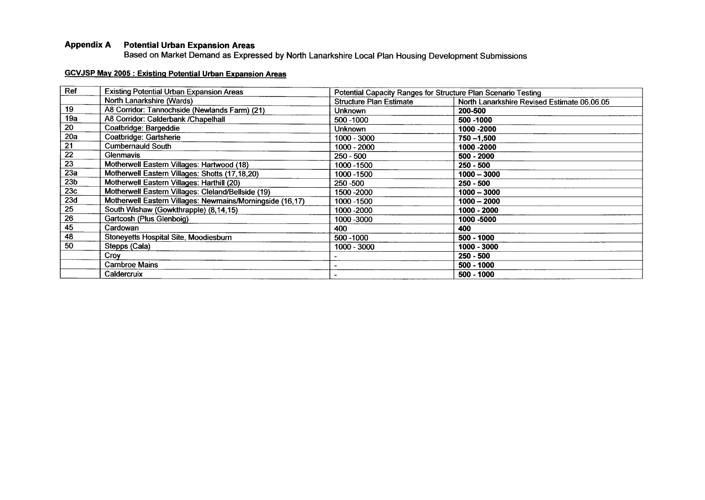### **Appendix A Potential Urban Expansion Areas**

Based on Market Demand as Expressed by North Lanarkshire Local Plan Housing Development Submissions

### **GCVJSP May 2005** : **Existinq Potential Urban Expansion Areas**

| Ref             | <b>Existing Potential Urban Expansion Areas</b>           | Potential Capacity Ranges for Structure Plan Scenario Testing |                                             |
|-----------------|-----------------------------------------------------------|---------------------------------------------------------------|---------------------------------------------|
|                 | North Lanarkshire (Wards)                                 | <b>Structure Plan Estimate</b>                                | North Lanarkshire Revised Estimate 06.06.05 |
| 19              | A8 Corridor: Tannochside (Newlands Farm) (21)             | <b>Unknown</b>                                                | 200-500                                     |
| 19a             | A8 Corridor: Calderbank /Chapelhall                       | 500 - 1000                                                    | 500 - 1000                                  |
| 20              | Coatbridge: Bargeddie                                     | <b>Unknown</b>                                                | 1000 - 2000                                 |
| 20a             | Coatbridge: Gartsherie                                    | 1000 - 3000                                                   | $750 - 1,500$                               |
| 21              | <b>Cumbernauld South</b>                                  | 1000 - 2000                                                   | 1000 - 2000                                 |
| $\overline{22}$ | Glenmavis                                                 | $250 - 500$                                                   | 500 - 2000                                  |
| 23              | Motherwell Eastern Villages: Hartwood (18)                | 1000 - 1500                                                   | $250 - 500$                                 |
| 23a             | Motherwell Eastern Villages: Shotts (17,18,20)            | 1000 - 1500                                                   | $1000 - 3000$                               |
| 23 <sub>b</sub> | Motherwell Eastern Villages: Harthill (20)                | 250 - 500                                                     | $250 - 500$                                 |
| 23c             | Motherwell Eastern Villages: Cleland/Bellside (19)        | 1500 - 2000                                                   | $1000 - 3000$                               |
| 23d             | Motherwell Eastern Villages: Newmains/Morningside (16,17) | 1000 - 1500                                                   | $1000 - 2000$                               |
| 25              | South Wishaw (Gowkthrapple) (8,14,15)                     | 1000 - 2000                                                   | 1000 - 2000                                 |
| 26              | Gartcosh (Plus Glenboig)                                  | 1000 - 3000                                                   | 1000 -5000                                  |
| 45              | Cardowan                                                  | 400                                                           | 400                                         |
| 48              | Stoneyetts Hospital Site, Moodiesburn                     | 500 - 1000                                                    | 500 - 1000                                  |
| 50              | Stepps (Cala)                                             | 1000 - 3000                                                   | 1000 - 3000                                 |
|                 | Croy                                                      |                                                               | $250 - 500$                                 |
|                 | <b>Carnbroe Mains</b>                                     |                                                               | 500 - 1000                                  |
|                 | Caldercruix                                               |                                                               | 500 - 1000                                  |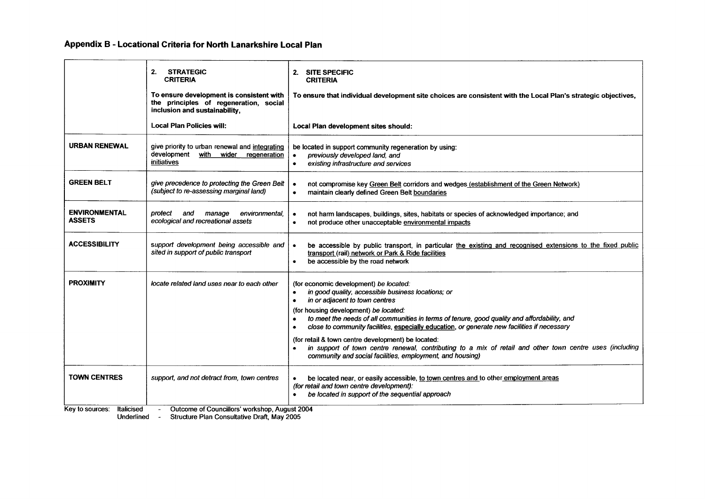**Appendix B** - **Locational Criteria for North Lanarkshire Local Plan** 

|                                                                                | 2.<br><b>STRATEGIC</b><br><b>CRITERIA</b><br>To ensure development is consistent with<br>the principles of regeneration, social<br>inclusion and sustainability, | 2. SITE SPECIFIC<br><b>CRITERIA</b><br>To ensure that individual development site choices are consistent with the Local Plan's strategic objectives,                                                                                                                                                                                                                                                                                                                                                                                                                                                                                          |  |
|--------------------------------------------------------------------------------|------------------------------------------------------------------------------------------------------------------------------------------------------------------|-----------------------------------------------------------------------------------------------------------------------------------------------------------------------------------------------------------------------------------------------------------------------------------------------------------------------------------------------------------------------------------------------------------------------------------------------------------------------------------------------------------------------------------------------------------------------------------------------------------------------------------------------|--|
|                                                                                | <b>Local Plan Policies will:</b>                                                                                                                                 | Local Plan development sites should:                                                                                                                                                                                                                                                                                                                                                                                                                                                                                                                                                                                                          |  |
| <b>URBAN RENEWAL</b>                                                           | give priority to urban renewal and integrating<br>development<br>with wider regeneration<br>initiatives                                                          | be located in support community regeneration by using:<br>previously developed land, and<br>$\bullet$<br>existing infrastructure and services<br>$\bullet$                                                                                                                                                                                                                                                                                                                                                                                                                                                                                    |  |
| <b>GREEN BELT</b>                                                              | give precedence to protecting the Green Belt<br>(subject to re-assessing marginal land)                                                                          | not compromise key Green Belt corridors and wedges (establishment of the Green Network)<br>maintain clearly defined Green Belt boundaries<br>$\bullet$                                                                                                                                                                                                                                                                                                                                                                                                                                                                                        |  |
| <b>ENVIRONMENTAL</b><br><b>ASSETS</b>                                          | protect<br>and<br>manage<br>environmental.<br>ecological and recreational assets                                                                                 | not harm landscapes, buildings, sites, habitats or species of acknowledged importance; and<br>$\bullet$<br>not produce other unacceptable environmental impacts<br>$\bullet$                                                                                                                                                                                                                                                                                                                                                                                                                                                                  |  |
| <b>ACCESSIBILITY</b>                                                           | support development being accessible and<br>sited in support of public transport                                                                                 | be accessible by public transport, in particular the existing and recognised extensions to the fixed public<br>transport (rail) network or Park & Ride facilities<br>be accessible by the road network<br>$\bullet$                                                                                                                                                                                                                                                                                                                                                                                                                           |  |
| <b>PROXIMITY</b>                                                               | locate related land uses near to each other                                                                                                                      | (for economic development) be located:<br>in good quality, accessible business locations; or<br>$\bullet$<br>in or adjacent to town centres<br>$\bullet$<br>(for housing development) be located:<br>to meet the needs of all communities in terms of tenure, good quality and affordability, and<br>close to community facilities, especially education, or generate new facilities if necessary<br>$\bullet$<br>(for retail & town centre development) be located:<br>in support of town centre renewal, contributing to a mix of retail and other town centre uses (including<br>community and social facilities, employment, and housing) |  |
| <b>TOWN CENTRES</b>                                                            | support, and not detract from, town centres                                                                                                                      | be located near, or easily accessible, to town centres and to other employment areas<br>(for retail and town centre development):<br>be located in support of the sequential approach<br>$\bullet$                                                                                                                                                                                                                                                                                                                                                                                                                                            |  |
| Outcome of Councillors' workshop, August 2004<br>Italicised<br>Key to sources: |                                                                                                                                                                  |                                                                                                                                                                                                                                                                                                                                                                                                                                                                                                                                                                                                                                               |  |

Underlined - Structure Plan Consultative Draft; May2005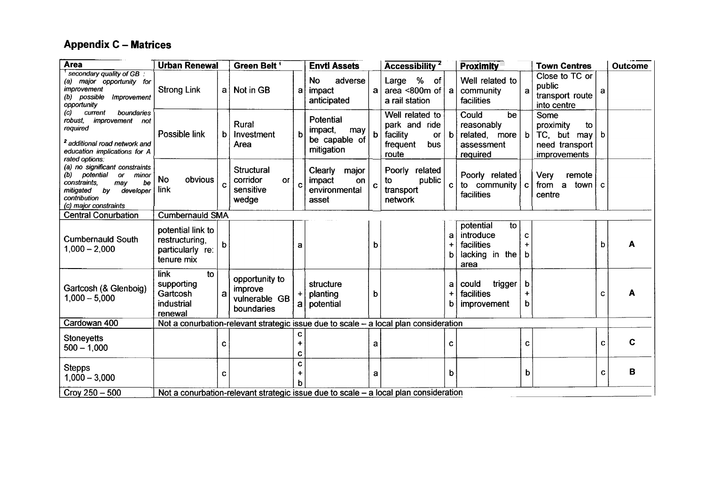## **Appendix C** - **Matrices**

| <b>Area</b>                                                                                                                                                                                                                                                                               | <b>Urban Renewal</b>                                                                 |             | Green Belt <sup>1</sup>                                                              |                | <b>Envtl Assets</b>                                        |   | Accessibility <sup>2</sup>                                                            |                        | <b>Proximity</b>                                                           |                     | <b>Town Centres</b>                                                                |             | <b>Outcome</b> |
|-------------------------------------------------------------------------------------------------------------------------------------------------------------------------------------------------------------------------------------------------------------------------------------------|--------------------------------------------------------------------------------------|-------------|--------------------------------------------------------------------------------------|----------------|------------------------------------------------------------|---|---------------------------------------------------------------------------------------|------------------------|----------------------------------------------------------------------------|---------------------|------------------------------------------------------------------------------------|-------------|----------------|
| secondary quality of GB<br>(a) major opportunity for<br>improvement<br>(b) possible<br>Improvement<br>opportunity<br>boundaries<br>(c)<br>current<br>improvement not<br>robust,<br>required<br><sup>2</sup> additional road network and<br>education implications for A<br>rated options: | <b>Strong Link</b>                                                                   | al          | Not in GB                                                                            | a              | adverse<br>No<br>impact<br>anticipated                     | a | %<br>of<br>Large<br>area < $800m$ of<br>a rail station                                | a                      | Well related to<br>community<br>facilities                                 | a                   | Close to TC or<br>public<br>transport route<br>into centre                         | a           |                |
|                                                                                                                                                                                                                                                                                           | Possible link                                                                        | b           | Rural<br>Investment<br>Area                                                          | b              | Potential<br>impact,<br>may<br>be capable of<br>mitigation | b | Well related to<br>park and ride<br>facility<br><b>or</b><br>frequent<br>bus<br>route | b                      | Could<br>be<br>reasonably<br>related, more $ b $<br>assessment<br>required |                     | Some<br>proximity<br>to<br>$TC$ , but may<br>need transport<br><i>improvements</i> | b           |                |
| (a) no significant constraints<br>potential<br>(b)<br>or minor<br>constraints.<br>be<br>may<br>mitigated<br>bv<br>developer<br>contribution<br>(c) major constraints                                                                                                                      | <b>No</b><br>obvious<br>link                                                         | $\mathbf c$ | <b>Structural</b><br>corridor<br><b>or</b><br>sensitive<br>wedge                     | C              | Clearly<br>major<br>impact<br>on<br>environmental<br>asset | C | Poorly related<br>public<br>to<br>transport<br>network                                | C.                     | Poorly related<br>to community c<br>facilities                             |                     | Very<br>remote<br>town $\vert$ c<br>from<br>a<br>centre                            |             |                |
| <b>Central Conurbation</b>                                                                                                                                                                                                                                                                | <b>Cumbernauld SMA</b>                                                               |             |                                                                                      |                |                                                            |   |                                                                                       |                        |                                                                            |                     |                                                                                    |             |                |
| <b>Cumbernauld South</b><br>$1,000 - 2,000$                                                                                                                                                                                                                                               | potential link to<br>restructuring.<br>particularly re:<br>tenure mix                | h           |                                                                                      | a              |                                                            | b |                                                                                       | a<br>٠<br>$\mathbf{b}$ | potential<br>to<br>introduce<br>facilities<br>lacking in the<br>area       | C<br>h              |                                                                                    | b           |                |
| Gartcosh (& Glenboig)<br>$1,000 - 5,000$                                                                                                                                                                                                                                                  | <b>link</b><br>to<br>supporting<br>Gartcosh<br>industrial<br>renewal                 | a           | opportunity to<br>improve<br>vulnerable GB<br>boundaries                             | $\ddot{}$      | structure<br>planting<br>a   potential                     | b |                                                                                       | a<br>$\ddot{}$<br>b    | could<br>trigger<br>facilities<br><i>improvement</i>                       | b<br>$\ddot{}$<br>b |                                                                                    | С           | A              |
| Cardowan 400                                                                                                                                                                                                                                                                              |                                                                                      |             | Not a conurbation-relevant strategic issue due to scale - a local plan consideration |                |                                                            |   |                                                                                       |                        |                                                                            |                     |                                                                                    |             |                |
| <b>Stoneyetts</b><br>$500 - 1,000$                                                                                                                                                                                                                                                        |                                                                                      | C           |                                                                                      | +<br>c         |                                                            | a |                                                                                       | C                      |                                                                            | C                   |                                                                                    | $\mathbf c$ | C              |
| <b>Stepps</b><br>$1,000 - 3,000$                                                                                                                                                                                                                                                          |                                                                                      | C           |                                                                                      | C<br>$\ddot{}$ |                                                            | a |                                                                                       | b                      |                                                                            | b                   |                                                                                    | C           | в              |
| $Croy 250 - 500$                                                                                                                                                                                                                                                                          | Not a conurbation-relevant strategic issue due to scale - a local plan consideration |             |                                                                                      |                |                                                            |   |                                                                                       |                        |                                                                            |                     |                                                                                    |             |                |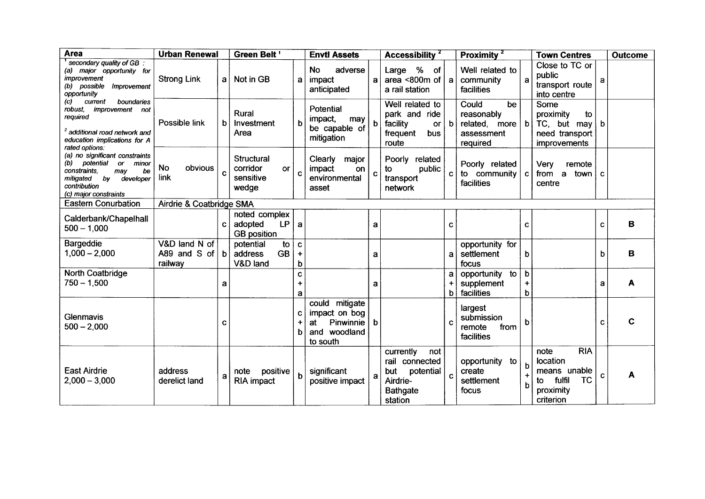| <b>Area</b>                                                                                                                                                                                                                                                                     | <b>Urban Renewal</b>                                   |              | Green Belt <sup>1</sup>                                     | <b>Envtl Assets</b>   |                                                                                    | Accessibility <sup>2</sup> | <b>Proximity</b> <sup><math>2</math></sup>                                                       | <b>Town Centres</b> | <b>Outcome</b>                                                       |                     |                                                                                                       |          |   |  |
|---------------------------------------------------------------------------------------------------------------------------------------------------------------------------------------------------------------------------------------------------------------------------------|--------------------------------------------------------|--------------|-------------------------------------------------------------|-----------------------|------------------------------------------------------------------------------------|----------------------------|--------------------------------------------------------------------------------------------------|---------------------|----------------------------------------------------------------------|---------------------|-------------------------------------------------------------------------------------------------------|----------|---|--|
| secondary quality of GB.<br>(a) major opportunity for<br>improvement<br>(b) possible<br>Improvement<br>opportunity<br>(c)<br>boundaries<br>current<br>robust.<br><i>improvement not</i><br>required<br><sup>2</sup> additional road network and<br>education implications for A | <b>Strong Link</b>                                     | a l          | Not in GB                                                   | a                     | adverse<br><b>No</b><br>impact<br>anticipated                                      | $\mathbf a$                | Large % of<br>area < $800m$ of<br>a rail station                                                 | a                   | Well related to<br>community<br>facilities                           | a                   | Close to TC or<br>public<br>transport route<br>into centre                                            | a        |   |  |
|                                                                                                                                                                                                                                                                                 | Possible link                                          | b            | Rural<br>Investment<br>Area                                 |                       | Potential<br>impact,<br>may<br>be capable of<br>mitigation                         | b                          | Well related to<br>park and ride<br>facility<br><b>or</b><br>frequent<br>bus<br>route            | b                   | Could<br>be<br>reasonably<br>related, more<br>assessment<br>required | b                   | Some<br>proximity<br>to<br>TC, but may<br>need transport<br>improvements                              | b        |   |  |
| rated options:<br>(a) no significant constraints<br>(b)<br>potential<br>or<br>minor<br>constraints,<br>may<br>be<br>by<br>mitigated<br>developer<br>contribution<br>(c) major constraints                                                                                       | <b>No</b><br>obvious<br>link                           | C            | <b>Structural</b><br>corridor<br>or<br>sensitive<br>wedge   | C                     | Clearly<br>major<br>impact<br>on<br>environmental<br>asset                         | $\mathbf c$                | Poorly related<br>public<br>to<br>transport<br>network                                           | C.                  | Poorly related<br>to community<br>facilities                         | c                   | Very<br>remote<br>from a<br>town<br>centre                                                            | <b>C</b> |   |  |
|                                                                                                                                                                                                                                                                                 | <b>Eastern Conurbation</b><br>Airdrie & Coatbridge SMA |              |                                                             |                       |                                                                                    |                            |                                                                                                  |                     |                                                                      |                     |                                                                                                       |          |   |  |
| Calderbank/Chapelhall<br>$500 - 1,000$                                                                                                                                                                                                                                          |                                                        | C            | noted complex<br><b>LP</b><br>adopted<br><b>GB</b> position | a                     |                                                                                    | a                          |                                                                                                  | $\mathbf{C}$        |                                                                      | C                   |                                                                                                       | C        | в |  |
| Bargeddie<br>$1,000 - 2,000$                                                                                                                                                                                                                                                    | V&D land N of<br>A89 and S of<br>railway               | $\mathbf{b}$ | potential<br>to<br><b>GB</b><br>address<br>V&D land         | $\mathbf c$<br>٠<br>b |                                                                                    | a                          |                                                                                                  | a                   | opportunity for<br>settlement<br>focus                               | b                   |                                                                                                       | b        | B |  |
| North Coatbridge<br>$750 - 1,500$                                                                                                                                                                                                                                               |                                                        | а            |                                                             | C<br>$\ddot{}$<br>a   |                                                                                    | a                          |                                                                                                  | $\ddot{}$<br>b      | to<br>opportunity<br>supplement<br>facilities                        | b<br>$\ddot{}$<br>b |                                                                                                       | a        | A |  |
| Glenmavis<br>$500 - 2,000$                                                                                                                                                                                                                                                      |                                                        | С            |                                                             | С<br>h                | could mitigate<br>impact on bog<br>Pinwinnie   b<br>at<br>and woodland<br>to south |                            |                                                                                                  |                     | largest<br>submission<br>remote<br>from<br>facilities                | b                   |                                                                                                       | C        | C |  |
| <b>East Airdrie</b><br>$2,000 - 3,000$                                                                                                                                                                                                                                          | address<br>derelict land                               | a            | positive<br>note<br>RIA impact                              |                       | significant<br>positive impact                                                     | a                          | currently<br>not<br>rail connected<br>but<br>potential<br>Airdrie-<br><b>Bathgate</b><br>station | C                   | opportunity<br>to<br>create<br>settlement<br>focus                   | h<br>b              | <b>RIA</b><br>note<br>location<br>means unable<br><b>TC</b><br>fulfil<br>to<br>proximity<br>criterion | C        | A |  |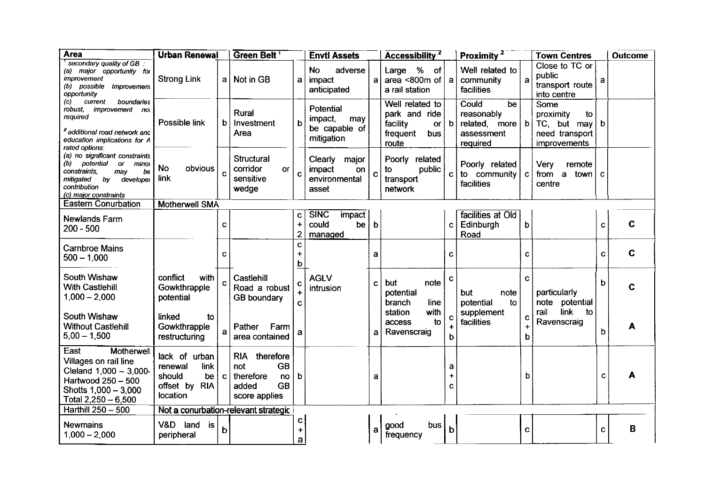| <b>Area</b>                                                                                                                                                                               | <b>Urban Renewal</b>                                                          |              | Green Belt <sup>1</sup>                                                                     |                                                     | <b>Envtl Assets</b>                                        |              | Accessibility <sup>2</sup>                                                            |                     | Proximity <sup>2</sup>                                                     |                                    | <b>Town Centres</b>                                                      |              | <b>Outcome</b> |
|-------------------------------------------------------------------------------------------------------------------------------------------------------------------------------------------|-------------------------------------------------------------------------------|--------------|---------------------------------------------------------------------------------------------|-----------------------------------------------------|------------------------------------------------------------|--------------|---------------------------------------------------------------------------------------|---------------------|----------------------------------------------------------------------------|------------------------------------|--------------------------------------------------------------------------|--------------|----------------|
| secondary quality of GB.<br>(a) major opportunity for<br>improvement<br>(b) possible Improvement<br>opportunity                                                                           | <b>Strong Link</b>                                                            |              | a   Not in GB                                                                               | a                                                   | adverse<br><b>No</b><br>impact<br>anticipated              | a.           | Large % of<br>area <800 $m$ of $ a $<br>a rail station                                |                     | Well related to<br>community<br>facilities                                 | $\mathbf{a}$                       | Close to TC or<br>public<br>transport route<br>into centre               | a            |                |
| $\left( c\right)$<br>current<br>boundaries<br>robust.<br><i>improvement nol</i><br>required<br><sup>2</sup> additional road network and<br>education implications for A<br>rated options: | Possible link                                                                 | $\mathbf b$  | Rural<br>Investment<br>Area                                                                 | b                                                   | Potential<br>impact,<br>may<br>be capable of<br>mitigation |              | Well related to<br>park and ride<br>facility<br><b>or</b><br>frequent<br>bus<br>route | b                   | Could<br>be<br>reasonably<br>related, more $ b $<br>assessment<br>required |                                    | Some<br>proximity<br>to<br>TC, but may<br>need transport<br>improvements | b            |                |
| (a) no significant constraints<br>potential<br>(b)<br>or<br>minoi<br>constraints.<br>may<br>be<br>mitigated<br>by<br>developer<br>contribution<br>(c) major constraints                   | <b>No</b><br>obvious<br>link                                                  | $\mathbf{C}$ | <b>Structural</b><br>corridor<br>or<br>sensitive<br>wedge                                   | $\mathbf c$                                         | Clearly<br>major<br>impact<br>on<br>environmental<br>asset | C            | Poorly related<br>to<br>public<br>transport<br>network                                | C.                  | Poorly related<br>to community<br>facilities                               | $\mathbf{C}$                       | Very<br>remote<br>a town<br>from<br>centre                               | $\mathbf{C}$ |                |
| <b>Eastern Conurbation</b>                                                                                                                                                                | <b>Motherwell SMA</b>                                                         |              |                                                                                             |                                                     |                                                            |              |                                                                                       |                     |                                                                            |                                    |                                                                          |              |                |
| Newlands Farm<br>$200 - 500$                                                                                                                                                              |                                                                               | C            |                                                                                             | $\mathbf c$<br>$\ddot{}$<br>$\overline{\mathbf{c}}$ | <b>SINC</b><br>impact<br>could<br>be<br>managed            | $\mathbf b$  |                                                                                       | C                   | facilities at Old<br>Edinburgh<br>Road                                     | b                                  |                                                                          | $\mathbf C$  | $\mathbf C$    |
| <b>Carnbroe Mains</b><br>$500 - 1,000$                                                                                                                                                    |                                                                               | C            |                                                                                             | C<br>٠<br>b                                         |                                                            | a            |                                                                                       | C                   |                                                                            | $\mathbf{C}$                       |                                                                          | $\mathbf{C}$ | $\mathbf C$    |
| South Wishaw<br><b>With Castlehill</b><br>$1,000 - 2,000$<br>South Wishaw                                                                                                                 | conflict<br>with<br>Gowkthrapple<br>potential                                 | C            | Castlehill<br>Road a robust<br><b>GB</b> boundary                                           | $\mathbf{C}$<br>$\mathbf{C}$                        | <b>AGLV</b><br>intrusion                                   | $\mathbf{C}$ | but<br>note<br>potential<br>branch<br>line.<br>with<br>station                        | C                   | but<br>note<br>potential<br>to<br>supplement                               | C                                  | particularly<br>note potential<br>link<br>rail<br>to                     | b            | C              |
| <b>Without Castlehill</b><br>$5,00 - 1,500$                                                                                                                                               | linked<br>to<br>Gowkthrapple<br>restructuring                                 | $\mathbf{a}$ | Pather<br>Farm<br>area contained                                                            | a                                                   |                                                            | a            | to<br>access<br>Ravenscraig                                                           | C<br>b              | facilities                                                                 | C<br>$\overline{\phantom{a}}$<br>b | Ravenscraig                                                              | b            | Α              |
| East<br>Motherwell<br>Villages on rail line<br>Cleland 1,000 - 3,000-<br>Hartwood 250 - 500<br>Shotts 1,000 - 3,000<br>Total $2,250 - 6,500$                                              | lack of urban<br>renewal<br>link<br>should<br>be<br>offset by RIA<br>location | $\mathbf{C}$ | RIA therefore<br><b>GB</b><br>not<br>therefore<br>no<br><b>GB</b><br>added<br>score applies | b                                                   |                                                            | a            |                                                                                       | a<br>$\ddot{}$<br>C |                                                                            | b                                  |                                                                          | C            |                |
| Harthill 250 - 500                                                                                                                                                                        |                                                                               |              | Not a conurbation-relevant strategic                                                        |                                                     |                                                            |              |                                                                                       |                     |                                                                            |                                    |                                                                          |              |                |
| <b>Newmains</b><br>$1,000 - 2,000$                                                                                                                                                        | V&D land is<br>peripheral                                                     | $\mathbf b$  |                                                                                             | c<br>$\ddot{\phantom{1}}$<br>a                      |                                                            | a            | bus<br>good<br>frequency                                                              | b                   |                                                                            | $\mathbf{C}$                       |                                                                          | C.           | в              |